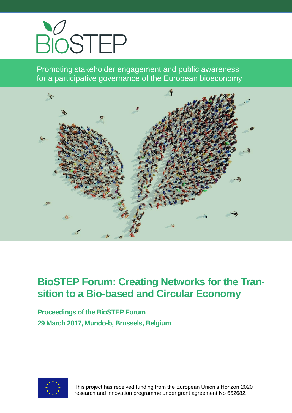

Promoting stakeholder engagement and public awareness for a participative governance of the European bioeconomy



# **BioSTEP Forum: Creating Networks for the Transition to a Bio-based and Circular Economy**

**Proceedings of the BioSTEP Forum 29 March 2017, Mundo-b, Brussels, Belgium**



 This project has received funding from the European Union's Horizon 2020 research and innovation programme under grant agreement No 652682.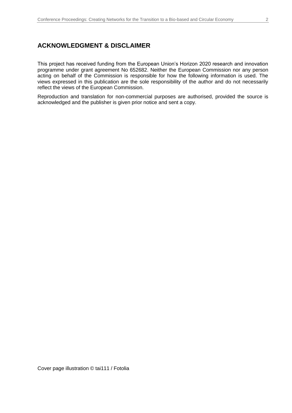### **ACKNOWLEDGMENT & DISCLAIMER**

This project has received funding from the European Union's Horizon 2020 research and innovation programme under grant agreement No 652682. Neither the European Commission nor any person acting on behalf of the Commission is responsible for how the following information is used. The views expressed in this publication are the sole responsibility of the author and do not necessarily reflect the views of the European Commission.

Reproduction and translation for non-commercial purposes are authorised, provided the source is acknowledged and the publisher is given prior notice and sent a copy.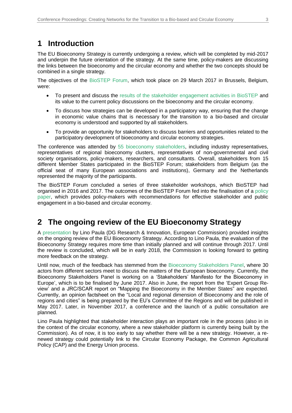## **1 Introduction**

The EU Bioeconomy Strategy is currently undergoing a review, which will be completed by mid-2017 and underpin the future orientation of the strategy. At the same time, policy-makers are discussing the links between the bioeconomy and the circular economy and whether the two concepts should be combined in a single strategy.

The objectives of the [BioSTEP Forum,](https://www.bio-step.eu/fileadmin/BioSTEP/Bio_documents/BioSTEP_Forum_Agenda.pdf) which took place on 29 March 2017 in Brussels, Belgium, were:

- To present and discuss the [results of the stakeholder engagement activities in BioSTEP](https://www.bio-step.eu/results.html) and its value to the current policy discussions on the bioeconomy and the circular economy.
- To discuss how strategies can be developed in a participatory way, ensuring that the change in economic value chains that is necessary for the transition to a bio-based and circular economy is understood and supported by all stakeholders.
- To provide an opportunity for stakeholders to discuss barriers and opportunities related to the participatory development of bioeconomy and circular economy strategies.

The conference was attended by 55 bioeconomy [stakeholders,](https://www.bio-step.eu/fileadmin/BioSTEP/Bio_documents/BioSTEP_Forum_Participants.pdf) including industry representatives, representatives of regional bioeconomy clusters, representatives of non-governmental and civil society organisations, policy-makers, researchers, and consultants. Overall, stakeholders from 15 different Member States participated in the BioSTEP Forum; stakeholders from Belgium (as the official seat of many European associations and institutions), Germany and the Netherlands represented the majority of the participants.

The BioSTEP Forum concluded a series of three stakeholder workshops, which BioSTEP had organised in 2016 and 2017. The outcomes of the BioSTEP Forum fed into the finalisation of a [policy](https://www.bio-step.eu/fileadmin/BioSTEP/Bio_documents/BioSTEP_Policy_Paper_final.pdf)  [paper,](https://www.bio-step.eu/fileadmin/BioSTEP/Bio_documents/BioSTEP_Policy_Paper_final.pdf) which provides policy-makers with recommendations for effective stakeholder and public engagement in a bio-based and circular economy.

## **2 The ongoing review of the EU Bioeconomy Strategy**

A [presentation](https://www.bio-step.eu/fileadmin/BioSTEP/Bio_documents/BioSTEP_Forum_Paula.pdf) by Lino Paula (DG Research & Innovation, European Commission) provided insights on the ongoing review of the EU Bioeconomy Strategy. According to Lino Paula, the evaluation of the Bioeconomy Strategy requires more time than initially planned and will continue through 2017. Until the review is concluded, which will be in early 2018, the Commission is looking forward to getting more feedback on the strategy.

Until now, much of the feedback has stemmed from the Bioeconomy [Stakeholders](https://ec.europa.eu/research/bioeconomy/index.cfm?pg=policy&lib=panel) Panel, where 30 actors from different sectors meet to discuss the matters of the European bioeconomy. Currently, the Bioeconomy Stakeholders Panel is working on a 'Stakeholders' Manifesto for the Bioeconomy in Europe', which is to be finalised by June 2017. Also in June, the report from the 'Expert Group Review' and a JRC/SCAR report on "Mapping the Bioeconomy in the Member States" are expected. Currently, an opinion factsheet on the "Local and regional dimension of Bioeconomy and the role of regions and cities" is being prepared by the EU's Committee of the Regions and will be published in May 2017. Later, in November 2017, a conference and the launch of a public consultation are planned.

Lino Paula highlighted that stakeholder interaction plays an important role in the process (also in in the context of the circular economy, where a new stakeholder platform is currently being built by the Commission). As of now, it is too early to say whether there will be a new strategy. However, a renewed strategy could potentially link to the Circular Economy Package, the Common Agricultural Policy (CAP) and the Energy Union process.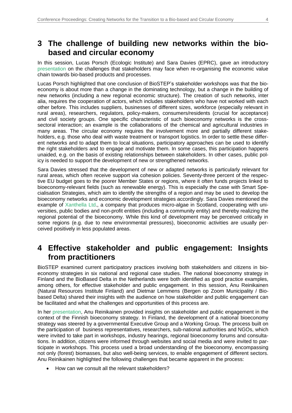## **3 The challenge of building new networks within the biobased and circular economy**

In this session, Lucas Porsch (Ecologic Institute) and Sara Davies (EPRC), gave an introductory [presentation](https://www.bio-step.eu/fileadmin/BioSTEP/Bio_documents/BioSTEP_Forum_Porsch_Davies.pdf) on the challenges that stakeholders may face when re-organising the economic value chain towards bio-based products and processes.

Lucas Porsch highlighted that one conclusion of BioSTEP's stakeholder workshops was that the bioeconomy is about more than a change in the dominating technology, but a change in the building of new networks (including a new regional economic structure). The creation of such networks, inter alia, requires the cooperation of actors, which includes stakeholders who have not worked with each other before. This includes suppliers, businesses of different sizes, workforce (especially relevant in rural areas), researchers, regulators, policy-makers, consumers/residents (crucial for acceptance) and civil society groups. One specific characteristic of such bioeconomy networks is the crosssectoral interaction; an example is the collaborations of the chemical and agricultural industries in many areas. The circular economy requires the involvement more and partially different stakeholders, e.g. those who deal with waste treatment or transport logistics. In order to settle these different networks and to adapt them to local situations, participatory approaches can be used to identify the right stakeholders and to engage and motivate them. In some cases, this participation happens unaided, e.g. on the basis of existing relationships between stakeholders. In other cases, public policy is needed to support the development of new or strengthened networks.

Sara Davies stressed that the development of new or adapted networks is particularly relevant for rural areas, which often receive support via cohesion policies. Seventy-three percent of the respective EU budget goes to the poorer Member States or regions, where it often funds projects linked to bioeconomy-relevant fields (such as renewable energy). This is especially the case with Smart Specialisation Strategies, which aim to identify the strengths of a region and may be used to develop the bioeconomy networks and economic development strategies accordingly. Sara Davies mentioned the example of [Xanthella](https://www.xanthella.co.uk/) Ltd., a company that produces micro-algae in Scotland, cooperating with universities, public bodies and non-profit entities (including a community entity) and thereby realizing the regional potential of the bioeconomy. While this kind of development may be perceived critically in some regions (e.g. due to new environmental pressures), bioeconomic activities are usually perceived positively in less populated areas.

### **4 Effective stakeholder and public engagement: Insights from practitioners**

BioSTEP examined current participatory practices involving both stakeholders and citizens in bioeconomy strategies in six national and regional case studies. The national bioeconomy strategy in Finland and the BioBased Delta in the Netherlands were both identified as good practice examples, among others, for effective stakeholder and public engagement. In this session, Anu Reinikainen (Natural Resources Institute Finland) and Dietmar Lemmens (Bergen op Zoom Municipality / Biobased Delta) shared their insights with the audience on how stakeholder and public engagement can be facilitated and what the challenges and opportunities of this process are.

In her [presentation,](https://www.bio-step.eu/fileadmin/BioSTEP/Bio_documents/BioSTEP_Forum_Reinikainen.pdf) Anu Reinikainen provided insights on stakeholder and public engagement in the context of the Finnish bioeconomy strategy. In Finland, the development of a national bioeconomy strategy was steered by a governmental Executive Group and a Working Group. The process built on the participation of business representatives, researchers, sub-national authorities and NGOs, which were invited to take part in workshops, industry hearings, regional bioeconomy forums and consultations. In addition, citizens were informed through websites and social media and were invited to participate in workshops. This process used a broad understanding of the bioeconomy, encompassing not only (forest) biomasses, but also well-being services, to enable engagement of different sectors. Anu Reinikainen highlighted the following challenges that became apparent in the process:

• How can we consult all the relevant stakeholders?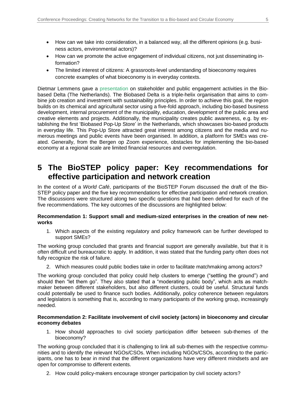- How can we take into consideration, in a balanced way, all the different opinions (e.g. business actors, environmental actors)?
- How can we promote the active engagement of individual citizens, not just disseminating information?
- The limited interest of citizens: A grassroots-level understanding of bioeconomy requires concrete examples of what bioeconomy is in everyday contexts.

Dietmar Lemmens gave a [presentation](https://www.bio-step.eu/fileadmin/BioSTEP/Bio_documents/BioSTEP_Forum_Lemmens.pdf) on stakeholder and public engagement activities in the Biobased Delta (The Netherlands). The Biobased Delta is a triple-helix organisation that aims to combine job creation and investment with sustainability principles. In order to achieve this goal, the region builds on its chemical and agricultural sector using a five-fold approach, including bio-based business development, internal procurement of the municipality, education, development of the public area and creative elements and projects. Additionally, the municipality creates public awareness, e.g. by establishing the first 'Biobased Pop-Up Store' in the Netherlands, which showcases bio-based products in everyday life. This Pop-Up Store attracted great interest among citizens and the media and numerous meetings and public events have been organised. In addition, a platform for SMEs was created. Generally, from the Bergen op Zoom experience, obstacles for implementing the bio-based economy at a regional scale are limited financial resources and overregulation.

### **5 The BioSTEP policy paper: Key recommendations for effective participation and network creation**

In the context of a *World Café*, participants of the BioSTEP Forum discussed the draft of the Bio-STEP policy paper and the five key recommendations for effective participation and network creation. The discussions were structured along two specific questions that had been defined for each of the five recommendations. The key outcomes of the discussions are highlighted below:

#### **Recommendation 1: Support small and medium-sized enterprises in the creation of new networks**

1. Which aspects of the existing regulatory and policy framework can be further developed to support SMEs?

The working group concluded that grants and financial support are generally available, but that it is often difficult und bureaucratic to apply. In addition, it was stated that the funding party often does not fully recognize the risk of failure.

2. Which measures could public bodies take in order to facilitate matchmaking among actors?

The working group concluded that policy could help clusters to emerge ("settling the ground") and should then "let them go". They also stated that a "moderating public body", which acts as matchmaker between different stakeholders, but also different clusters, could be useful. Structural funds could potentially be used to finance such bodies. Additionally, policy coherence between regulators and legislators is something that is, according to many participants of the working group, increasingly needed.

#### **Recommendation 2: Facilitate involvement of civil society (actors) in bioeconomy and circular economy debates**

1. How should approaches to civil society participation differ between sub-themes of the bioeconomy?

The working group concluded that it is challenging to link all sub-themes with the respective communities and to identify the relevant NGOs/CSOs. When including NGOs/CSOs, according to the participants, one has to bear in mind that the different organizations have very different mindsets and are open for compromise to different extents.

2. How could policy-makers encourage stronger participation by civil society actors?